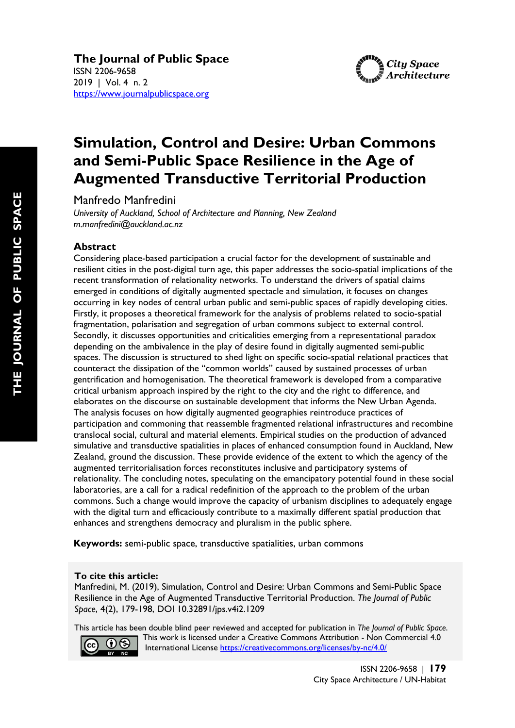

# **Simulation, Control and Desire: Urban Commons and Semi-Public Space Resilience in the Age of Augmented Transductive Territorial Production**

Manfredo Manfredini

*University of Auckland, School of Architecture and Planning, New Zealand m.manfredini@auckland.ac.nz*

## **Abstract**

Considering place-based participation a crucial factor for the development of sustainable and resilient cities in the post-digital turn age, this paper addresses the socio-spatial implications of the recent transformation of relationality networks. To understand the drivers of spatial claims emerged in conditions of digitally augmented spectacle and simulation, it focuses on changes occurring in key nodes of central urban public and semi-public spaces of rapidly developing cities. Firstly, it proposes a theoretical framework for the analysis of problems related to socio-spatial fragmentation, polarisation and segregation of urban commons subject to external control. Secondly, it discusses opportunities and criticalities emerging from a representational paradox depending on the ambivalence in the play of desire found in digitally augmented semi-public spaces. The discussion is structured to shed light on specific socio-spatial relational practices that counteract the dissipation of the "common worlds" caused by sustained processes of urban gentrification and homogenisation. The theoretical framework is developed from a comparative critical urbanism approach inspired by the right to the city and the right to difference, and elaborates on the discourse on sustainable development that informs the New Urban Agenda. The analysis focuses on how digitally augmented geographies reintroduce practices of participation and commoning that reassemble fragmented relational infrastructures and recombine translocal social, cultural and material elements. Empirical studies on the production of advanced simulative and transductive spatialities in places of enhanced consumption found in Auckland, New Zealand, ground the discussion. These provide evidence of the extent to which the agency of the augmented territorialisation forces reconstitutes inclusive and participatory systems of relationality. The concluding notes, speculating on the emancipatory potential found in these social laboratories, are a call for a radical redefinition of the approach to the problem of the urban commons. Such a change would improve the capacity of urbanism disciplines to adequately engage with the digital turn and efficaciously contribute to a maximally different spatial production that enhances and strengthens democracy and pluralism in the public sphere.

**Keywords:** semi-public space, transductive spatialities, urban commons

## **To cite this article:**

Manfredini, M. (2019), Simulation, Control and Desire: Urban Commons and Semi-Public Space Resilience in the Age of Augmented Transductive Territorial Production. *The Journal of Public Space*, 4(2), 179-198, DOI 10.32891/jps.v4i2.1209

This article has been double blind peer reviewed and accepted for publication in *The Journal of Public Space*.



 This work is licensed under a Creative Commons Attribution - Non Commercial 4.0 International License https://creativecommons.org/licenses/by-nc/4.0/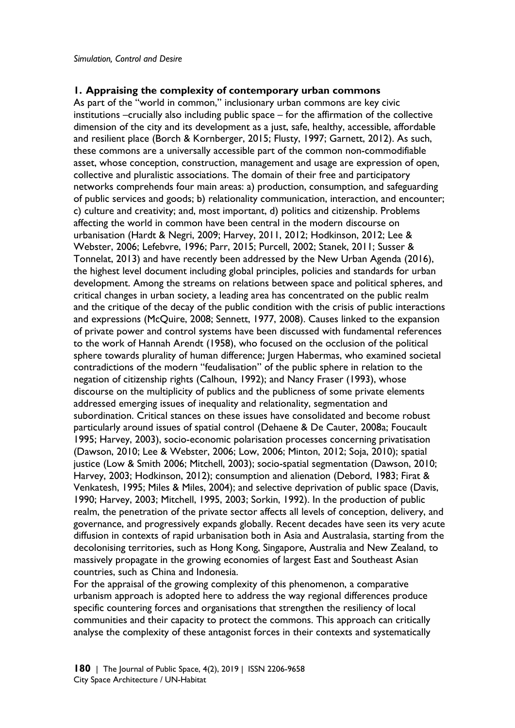## **1. Appraising the complexity of contemporary urban commons**

As part of the "world in common," inclusionary urban commons are key civic institutions –crucially also including public space – for the affirmation of the collective dimension of the city and its development as a just, safe, healthy, accessible, affordable and resilient place (Borch & Kornberger, 2015; Flusty, 1997; Garnett, 2012). As such, these commons are a universally accessible part of the common non-commodifiable asset, whose conception, construction, management and usage are expression of open, collective and pluralistic associations. The domain of their free and participatory networks comprehends four main areas: a) production, consumption, and safeguarding of public services and goods; b) relationality communication, interaction, and encounter; c) culture and creativity; and, most important, d) politics and citizenship. Problems affecting the world in common have been central in the modern discourse on urbanisation (Hardt & Negri, 2009; Harvey, 2011, 2012; Hodkinson, 2012; Lee & Webster, 2006; Lefebvre, 1996; Parr, 2015; Purcell, 2002; Stanek, 2011; Susser & Tonnelat, 2013) and have recently been addressed by the New Urban Agenda (2016), the highest level document including global principles, policies and standards for urban development. Among the streams on relations between space and political spheres, and critical changes in urban society, a leading area has concentrated on the public realm and the critique of the decay of the public condition with the crisis of public interactions and expressions (McQuire, 2008; Sennett, 1977, 2008). Causes linked to the expansion of private power and control systems have been discussed with fundamental references to the work of Hannah Arendt (1958), who focused on the occlusion of the political sphere towards plurality of human difference; Jurgen Habermas, who examined societal contradictions of the modern "feudalisation" of the public sphere in relation to the negation of citizenship rights (Calhoun, 1992); and Nancy Fraser (1993), whose discourse on the multiplicity of publics and the publicness of some private elements addressed emerging issues of inequality and relationality, segmentation and subordination. Critical stances on these issues have consolidated and become robust particularly around issues of spatial control (Dehaene & De Cauter, 2008a; Foucault 1995; Harvey, 2003), socio-economic polarisation processes concerning privatisation (Dawson, 2010; Lee & Webster, 2006; Low, 2006; Minton, 2012; Soja, 2010); spatial justice (Low & Smith 2006; Mitchell, 2003); socio-spatial segmentation (Dawson, 2010; Harvey, 2003; Hodkinson, 2012); consumption and alienation (Debord, 1983; Firat & Venkatesh, 1995; Miles & Miles, 2004); and selective deprivation of public space (Davis, 1990; Harvey, 2003; Mitchell, 1995, 2003; Sorkin, 1992). In the production of public realm, the penetration of the private sector affects all levels of conception, delivery, and governance, and progressively expands globally. Recent decades have seen its very acute diffusion in contexts of rapid urbanisation both in Asia and Australasia, starting from the decolonising territories, such as Hong Kong, Singapore, Australia and New Zealand, to massively propagate in the growing economies of largest East and Southeast Asian countries, such as China and Indonesia.

For the appraisal of the growing complexity of this phenomenon, a comparative urbanism approach is adopted here to address the way regional differences produce specific countering forces and organisations that strengthen the resiliency of local communities and their capacity to protect the commons. This approach can critically analyse the complexity of these antagonist forces in their contexts and systematically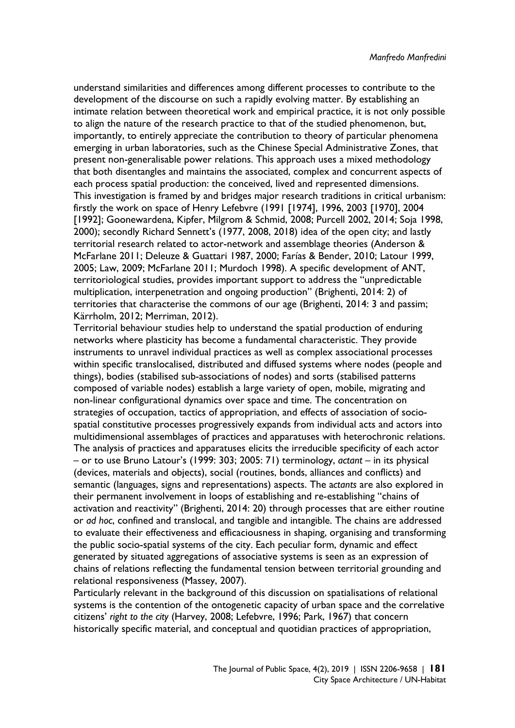understand similarities and differences among different processes to contribute to the development of the discourse on such a rapidly evolving matter. By establishing an intimate relation between theoretical work and empirical practice, it is not only possible to align the nature of the research practice to that of the studied phenomenon, but, importantly, to entirely appreciate the contribution to theory of particular phenomena emerging in urban laboratories, such as the Chinese Special Administrative Zones, that present non-generalisable power relations. This approach uses a mixed methodology that both disentangles and maintains the associated, complex and concurrent aspects of each process spatial production: the conceived, lived and represented dimensions. This investigation is framed by and bridges major research traditions in critical urbanism: firstly the work on space of Henry Lefebvre (1991 [1974], 1996, 2003 [1970], 2004 [1992]; Goonewardena, Kipfer, Milgrom & Schmid, 2008; Purcell 2002, 2014; Soja 1998, 2000); secondly Richard Sennett's (1977, 2008, 2018) idea of the open city; and lastly territorial research related to actor-network and assemblage theories (Anderson & McFarlane 2011; Deleuze & Guattari 1987, 2000; Farías & Bender, 2010; Latour 1999, 2005; Law, 2009; McFarlane 2011; Murdoch 1998). A specific development of ANT, territoriological studies, provides important support to address the "unpredictable multiplication, interpenetration and ongoing production" (Brighenti, 2014: 2) of territories that characterise the commons of our age (Brighenti, 2014: 3 and passim; Kärrholm, 2012; Merriman, 2012).

Territorial behaviour studies help to understand the spatial production of enduring networks where plasticity has become a fundamental characteristic. They provide instruments to unravel individual practices as well as complex associational processes within specific translocalised, distributed and diffused systems where nodes (people and things), bodies (stabilised sub-associations of nodes) and sorts (stabilised patterns composed of variable nodes) establish a large variety of open, mobile, migrating and non-linear configurational dynamics over space and time. The concentration on strategies of occupation, tactics of appropriation, and effects of association of sociospatial constitutive processes progressively expands from individual acts and actors into multidimensional assemblages of practices and apparatuses with heterochronic relations. The analysis of practices and apparatuses elicits the irreducible specificity of each actor – or to use Bruno Latour's (1999: 303; 2005: 71) terminology, *actant* – in its physical (devices, materials and objects), social (routines, bonds, alliances and conflicts) and semantic (languages, signs and representations) aspects. The a*ctants* are also explored in their permanent involvement in loops of establishing and re-establishing "chains of activation and reactivity" (Brighenti, 2014: 20) through processes that are either routine or *ad hoc*, confined and translocal, and tangible and intangible. The chains are addressed to evaluate their effectiveness and efficaciousness in shaping, organising and transforming the public socio-spatial systems of the city. Each peculiar form, dynamic and effect generated by situated aggregations of associative systems is seen as an expression of chains of relations reflecting the fundamental tension between territorial grounding and relational responsiveness (Massey, 2007).

Particularly relevant in the background of this discussion on spatialisations of relational systems is the contention of the ontogenetic capacity of urban space and the correlative citizens' *right to the city* (Harvey, 2008; Lefebvre, 1996; Park, 1967) that concern historically specific material, and conceptual and quotidian practices of appropriation,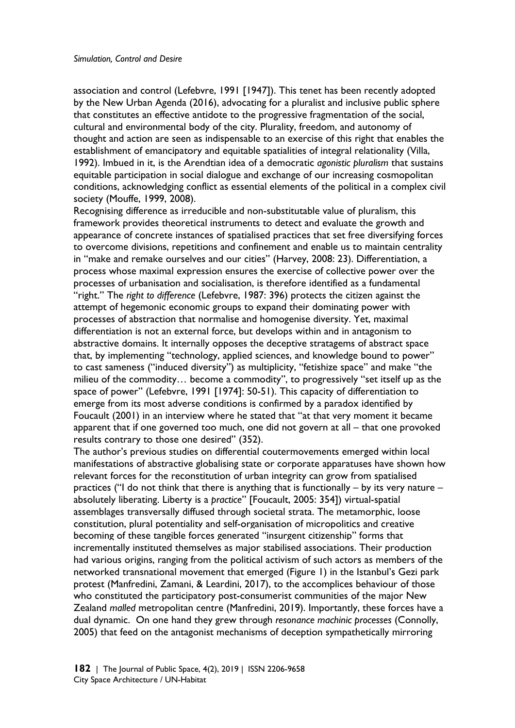association and control (Lefebvre, 1991 [1947]). This tenet has been recently adopted by the New Urban Agenda (2016), advocating for a pluralist and inclusive public sphere that constitutes an effective antidote to the progressive fragmentation of the social, cultural and environmental body of the city. Plurality, freedom, and autonomy of thought and action are seen as indispensable to an exercise of this right that enables the establishment of emancipatory and equitable spatialities of integral relationality (Villa, 1992). Imbued in it, is the Arendtian idea of a democratic *agonistic pluralism* that sustains equitable participation in social dialogue and exchange of our increasing cosmopolitan conditions, acknowledging conflict as essential elements of the political in a complex civil society (Mouffe, 1999, 2008).

Recognising difference as irreducible and non-substitutable value of pluralism, this framework provides theoretical instruments to detect and evaluate the growth and appearance of concrete instances of spatialised practices that set free diversifying forces to overcome divisions, repetitions and confinement and enable us to maintain centrality in "make and remake ourselves and our cities" (Harvey, 2008: 23). Differentiation, a process whose maximal expression ensures the exercise of collective power over the processes of urbanisation and socialisation, is therefore identified as a fundamental "right." The *right to difference* (Lefebvre, 1987: 396) protects the citizen against the attempt of hegemonic economic groups to expand their dominating power with processes of abstraction that normalise and homogenise diversity. Yet, maximal differentiation is not an external force, but develops within and in antagonism to abstractive domains. It internally opposes the deceptive stratagems of abstract space that, by implementing "technology, applied sciences, and knowledge bound to power" to cast sameness ("induced diversity") as multiplicity, "fetishize space" and make "the milieu of the commodity… become a commodity", to progressively "set itself up as the space of power" (Lefebvre, 1991 [1974]: 50-51). This capacity of differentiation to emerge from its most adverse conditions is confirmed by a paradox identified by Foucault (2001) in an interview where he stated that "at that very moment it became apparent that if one governed too much, one did not govern at all – that one provoked results contrary to those one desired" (352).

The author's previous studies on differential coutermovements emerged within local manifestations of abstractive globalising state or corporate apparatuses have shown how relevant forces for the reconstitution of urban integrity can grow from spatialised practices ("I do not think that there is anything that is functionally – by its very nature – absolutely liberating. Liberty is a *practice*" [Foucault, 2005: 354]) virtual-spatial assemblages transversally diffused through societal strata. The metamorphic, loose constitution, plural potentiality and self-organisation of micropolitics and creative becoming of these tangible forces generated "insurgent citizenship" forms that incrementally instituted themselves as major stabilised associations. Their production had various origins, ranging from the political activism of such actors as members of the networked transnational movement that emerged (Figure 1) in the Istanbul's Gezi park protest (Manfredini, Zamani, & Leardini, 2017), to the accomplices behaviour of those who constituted the participatory post-consumerist communities of the major New Zealand *malled* metropolitan centre (Manfredini, 2019). Importantly, these forces have a dual dynamic. On one hand they grew through *resonance machinic processes* (Connolly, 2005) that feed on the antagonist mechanisms of deception sympathetically mirroring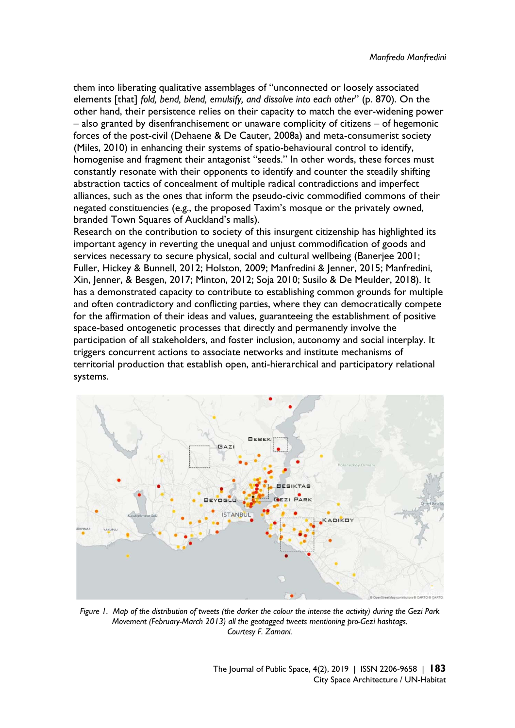them into liberating qualitative assemblages of "unconnected or loosely associated elements [that] *fold, bend, blend, emulsify, and dissolve into each other*" (p. 870). On the other hand, their persistence relies on their capacity to match the ever-widening power – also granted by disenfranchisement or unaware complicity of citizens – of hegemonic forces of the post-civil (Dehaene & De Cauter, 2008a) and meta-consumerist society (Miles, 2010) in enhancing their systems of spatio-behavioural control to identify, homogenise and fragment their antagonist "seeds." In other words, these forces must constantly resonate with their opponents to identify and counter the steadily shifting abstraction tactics of concealment of multiple radical contradictions and imperfect alliances, such as the ones that inform the pseudo-civic commodified commons of their negated constituencies (e.g., the proposed Taxim's mosque or the privately owned, branded Town Squares of Auckland's malls).

Research on the contribution to society of this insurgent citizenship has highlighted its important agency in reverting the unequal and unjust commodification of goods and services necessary to secure physical, social and cultural wellbeing (Banerjee 2001; Fuller, Hickey & Bunnell, 2012; Holston, 2009; Manfredini & Jenner, 2015; Manfredini, Xin, Jenner, & Besgen, 2017; Minton, 2012; Soja 2010; Susilo & De Meulder, 2018). It has a demonstrated capacity to contribute to establishing common grounds for multiple and often contradictory and conflicting parties, where they can democratically compete for the affirmation of their ideas and values, guaranteeing the establishment of positive space-based ontogenetic processes that directly and permanently involve the participation of all stakeholders, and foster inclusion, autonomy and social interplay. It triggers concurrent actions to associate networks and institute mechanisms of territorial production that establish open, anti-hierarchical and participatory relational systems.



*Figure 1. Map of the distribution of tweets (the darker the colour the intense the activity) during the Gezi Park Movement (February-March 2013) all the geotagged tweets mentioning pro-Gezi hashtags. Courtesy F. Zamani.* 

The Journal of Public Space, 4(2), 2019 | ISSN 2206-9658 | **183** City Space Architecture / UN-Habitat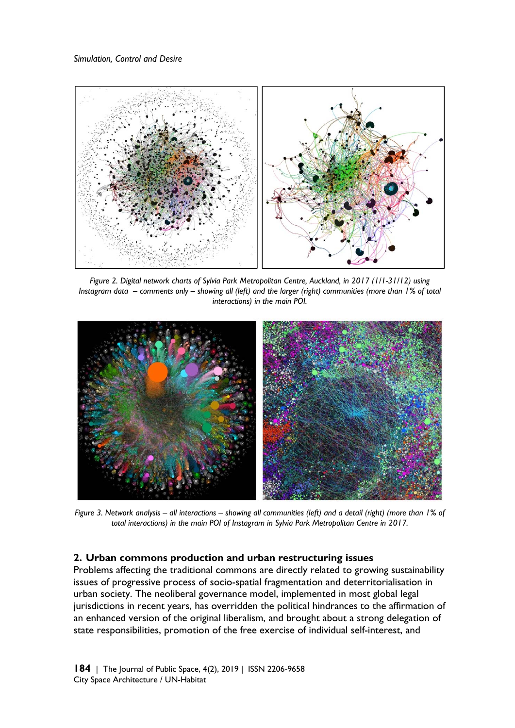

*Figure 2. Digital network charts of Sylvia Park Metropolitan Centre, Auckland, in 2017 (1/1-31/12) using Instagram data – comments only – showing all (left) and the larger (right) communities (more than 1% of total interactions) in the main POI.* 



*Figure 3. Network analysis – all interactions – showing all communities (left) and a detail (right) (more than 1% of total interactions) in the main POI of Instagram in Sylvia Park Metropolitan Centre in 2017.* 

## **2. Urban commons production and urban restructuring issues**

Problems affecting the traditional commons are directly related to growing sustainability issues of progressive process of socio-spatial fragmentation and deterritorialisation in urban society. The neoliberal governance model, implemented in most global legal jurisdictions in recent years, has overridden the political hindrances to the affirmation of an enhanced version of the original liberalism, and brought about a strong delegation of state responsibilities, promotion of the free exercise of individual self-interest, and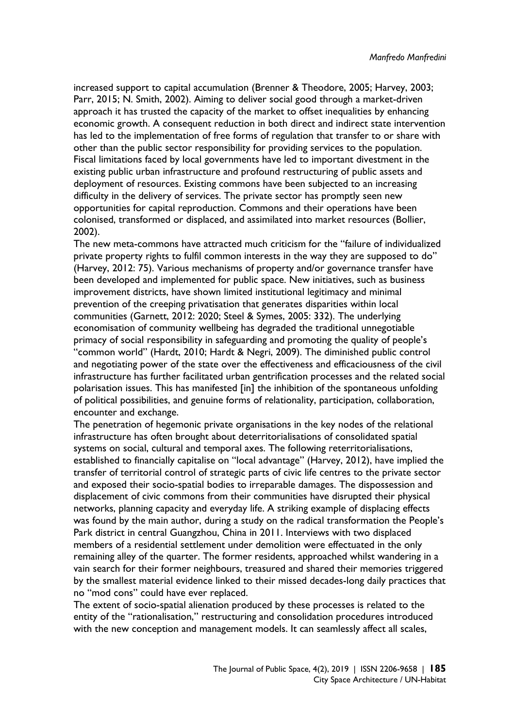increased support to capital accumulation (Brenner & Theodore, 2005; Harvey, 2003; Parr, 2015; N. Smith, 2002). Aiming to deliver social good through a market-driven approach it has trusted the capacity of the market to offset inequalities by enhancing economic growth. A consequent reduction in both direct and indirect state intervention has led to the implementation of free forms of regulation that transfer to or share with other than the public sector responsibility for providing services to the population. Fiscal limitations faced by local governments have led to important divestment in the existing public urban infrastructure and profound restructuring of public assets and deployment of resources. Existing commons have been subjected to an increasing difficulty in the delivery of services. The private sector has promptly seen new opportunities for capital reproduction. Commons and their operations have been colonised, transformed or displaced, and assimilated into market resources (Bollier, 2002).

The new meta-commons have attracted much criticism for the "failure of individualized private property rights to fulfil common interests in the way they are supposed to do" (Harvey, 2012: 75). Various mechanisms of property and/or governance transfer have been developed and implemented for public space. New initiatives, such as business improvement districts, have shown limited institutional legitimacy and minimal prevention of the creeping privatisation that generates disparities within local communities (Garnett, 2012: 2020; Steel & Symes, 2005: 332). The underlying economisation of community wellbeing has degraded the traditional unnegotiable primacy of social responsibility in safeguarding and promoting the quality of people's "common world" (Hardt, 2010; Hardt & Negri, 2009). The diminished public control and negotiating power of the state over the effectiveness and efficaciousness of the civil infrastructure has further facilitated urban gentrification processes and the related social polarisation issues. This has manifested [in] the inhibition of the spontaneous unfolding of political possibilities, and genuine forms of relationality, participation, collaboration, encounter and exchange.

The penetration of hegemonic private organisations in the key nodes of the relational infrastructure has often brought about deterritorialisations of consolidated spatial systems on social, cultural and temporal axes. The following reterritorialisations, established to financially capitalise on "local advantage" (Harvey, 2012), have implied the transfer of territorial control of strategic parts of civic life centres to the private sector and exposed their socio-spatial bodies to irreparable damages. The dispossession and displacement of civic commons from their communities have disrupted their physical networks, planning capacity and everyday life. A striking example of displacing effects was found by the main author, during a study on the radical transformation the People's Park district in central Guangzhou, China in 2011. Interviews with two displaced members of a residential settlement under demolition were effectuated in the only remaining alley of the quarter. The former residents, approached whilst wandering in a vain search for their former neighbours, treasured and shared their memories triggered by the smallest material evidence linked to their missed decades-long daily practices that no "mod cons" could have ever replaced.

The extent of socio-spatial alienation produced by these processes is related to the entity of the "rationalisation," restructuring and consolidation procedures introduced with the new conception and management models. It can seamlessly affect all scales,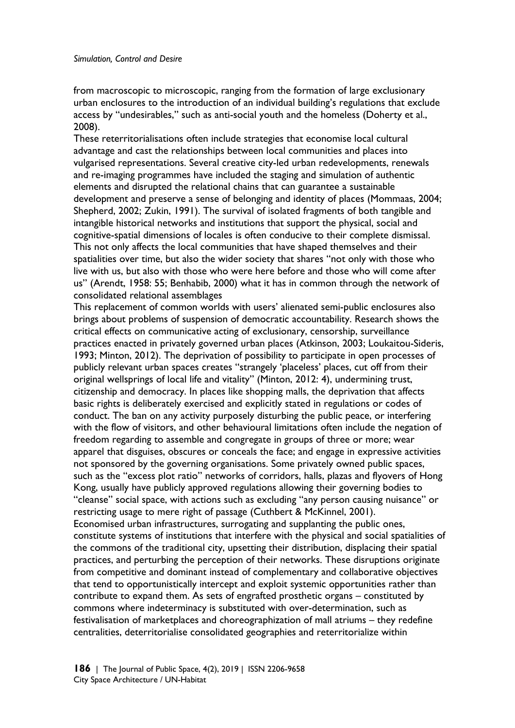from macroscopic to microscopic, ranging from the formation of large exclusionary urban enclosures to the introduction of an individual building's regulations that exclude access by "undesirables," such as anti-social youth and the homeless (Doherty et al., 2008).

These reterritorialisations often include strategies that economise local cultural advantage and cast the relationships between local communities and places into vulgarised representations. Several creative city-led urban redevelopments, renewals and re-imaging programmes have included the staging and simulation of authentic elements and disrupted the relational chains that can guarantee a sustainable development and preserve a sense of belonging and identity of places (Mommaas, 2004; Shepherd, 2002; Zukin, 1991). The survival of isolated fragments of both tangible and intangible historical networks and institutions that support the physical, social and cognitive-spatial dimensions of locales is often conducive to their complete dismissal. This not only affects the local communities that have shaped themselves and their spatialities over time, but also the wider society that shares "not only with those who live with us, but also with those who were here before and those who will come after us" (Arendt, 1958: 55; Benhabib, 2000) what it has in common through the network of consolidated relational assemblages

This replacement of common worlds with users' alienated semi-public enclosures also brings about problems of suspension of democratic accountability. Research shows the critical effects on communicative acting of exclusionary, censorship, surveillance practices enacted in privately governed urban places (Atkinson, 2003; Loukaitou-Sideris, 1993; Minton, 2012). The deprivation of possibility to participate in open processes of publicly relevant urban spaces creates "strangely 'placeless' places, cut off from their original wellsprings of local life and vitality" (Minton, 2012: 4), undermining trust, citizenship and democracy. In places like shopping malls, the deprivation that affects basic rights is deliberately exercised and explicitly stated in regulations or codes of conduct. The ban on any activity purposely disturbing the public peace, or interfering with the flow of visitors, and other behavioural limitations often include the negation of freedom regarding to assemble and congregate in groups of three or more; wear apparel that disguises, obscures or conceals the face; and engage in expressive activities not sponsored by the governing organisations. Some privately owned public spaces, such as the "excess plot ratio" networks of corridors, halls, plazas and flyovers of Hong Kong, usually have publicly approved regulations allowing their governing bodies to "cleanse" social space, with actions such as excluding "any person causing nuisance" or restricting usage to mere right of passage (Cuthbert & McKinnel, 2001). Economised urban infrastructures, surrogating and supplanting the public ones, constitute systems of institutions that interfere with the physical and social spatialities of the commons of the traditional city, upsetting their distribution, displacing their spatial practices, and perturbing the perception of their networks. These disruptions originate from competitive and dominant instead of complementary and collaborative objectives that tend to opportunistically intercept and exploit systemic opportunities rather than contribute to expand them. As sets of engrafted prosthetic organs – constituted by commons where indeterminacy is substituted with over-determination, such as festivalisation of marketplaces and choreographization of mall atriums – they redefine centralities, deterritorialise consolidated geographies and reterritorialize within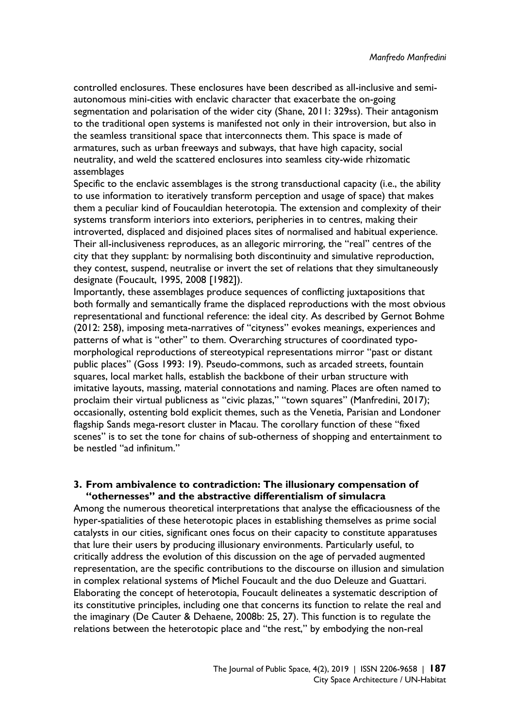controlled enclosures. These enclosures have been described as all-inclusive and semiautonomous mini-cities with enclavic character that exacerbate the on-going segmentation and polarisation of the wider city (Shane, 2011: 329ss). Their antagonism to the traditional open systems is manifested not only in their introversion, but also in the seamless transitional space that interconnects them. This space is made of armatures, such as urban freeways and subways, that have high capacity, social neutrality, and weld the scattered enclosures into seamless city-wide rhizomatic assemblages

Specific to the enclavic assemblages is the strong transductional capacity (i.e., the ability to use information to iteratively transform perception and usage of space) that makes them a peculiar kind of Foucauldian heterotopia. The extension and complexity of their systems transform interiors into exteriors, peripheries in to centres, making their introverted, displaced and disjoined places sites of normalised and habitual experience. Their all-inclusiveness reproduces, as an allegoric mirroring, the "real" centres of the city that they supplant: by normalising both discontinuity and simulative reproduction, they contest, suspend, neutralise or invert the set of relations that they simultaneously designate (Foucault, 1995, 2008 [1982]).

Importantly, these assemblages produce sequences of conflicting juxtapositions that both formally and semantically frame the displaced reproductions with the most obvious representational and functional reference: the ideal city. As described by Gernot Bohme (2012: 258), imposing meta-narratives of "cityness" evokes meanings, experiences and patterns of what is "other" to them. Overarching structures of coordinated typomorphological reproductions of stereotypical representations mirror "past or distant public places" (Goss 1993: 19). Pseudo-commons, such as arcaded streets, fountain squares, local market halls, establish the backbone of their urban structure with imitative layouts, massing, material connotations and naming. Places are often named to proclaim their virtual publicness as "civic plazas," "town squares" (Manfredini, 2017); occasionally, ostenting bold explicit themes, such as the Venetia, Parisian and Londoner flagship Sands mega-resort cluster in Macau. The corollary function of these "fixed scenes" is to set the tone for chains of sub-otherness of shopping and entertainment to be nestled "ad infinitum."

## **3. From ambivalence to contradiction: The illusionary compensation of "othernesses" and the abstractive differentialism of simulacra**

Among the numerous theoretical interpretations that analyse the efficaciousness of the hyper-spatialities of these heterotopic places in establishing themselves as prime social catalysts in our cities, significant ones focus on their capacity to constitute apparatuses that lure their users by producing illusionary environments. Particularly useful, to critically address the evolution of this discussion on the age of pervaded augmented representation, are the specific contributions to the discourse on illusion and simulation in complex relational systems of Michel Foucault and the duo Deleuze and Guattari. Elaborating the concept of heterotopia, Foucault delineates a systematic description of its constitutive principles, including one that concerns its function to relate the real and the imaginary (De Cauter & Dehaene, 2008b: 25, 27). This function is to regulate the relations between the heterotopic place and "the rest," by embodying the non-real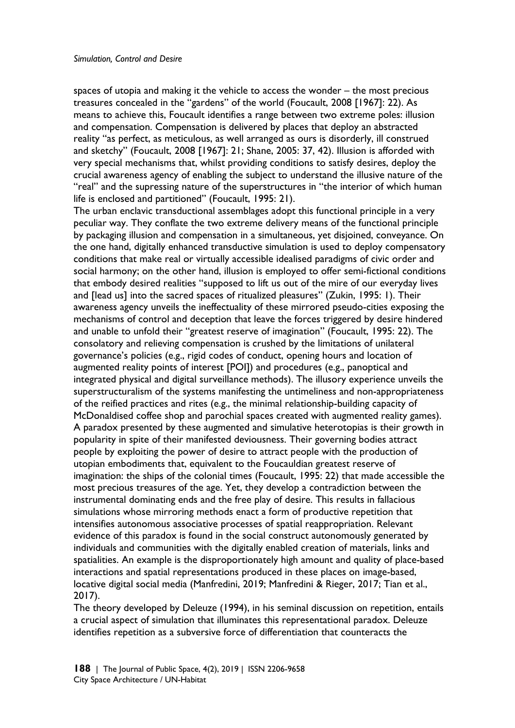spaces of utopia and making it the vehicle to access the wonder – the most precious treasures concealed in the "gardens" of the world (Foucault, 2008 [1967]: 22). As means to achieve this, Foucault identifies a range between two extreme poles: illusion and compensation. Compensation is delivered by places that deploy an abstracted reality "as perfect, as meticulous, as well arranged as ours is disorderly, ill construed and sketchy" (Foucault, 2008 [1967]: 21; Shane, 2005: 37, 42). Illusion is afforded with very special mechanisms that, whilst providing conditions to satisfy desires, deploy the crucial awareness agency of enabling the subject to understand the illusive nature of the "real" and the supressing nature of the superstructures in "the interior of which human life is enclosed and partitioned" (Foucault, 1995: 21).

The urban enclavic transductional assemblages adopt this functional principle in a very peculiar way. They conflate the two extreme delivery means of the functional principle by packaging illusion and compensation in a simultaneous, yet disjoined, conveyance. On the one hand, digitally enhanced transductive simulation is used to deploy compensatory conditions that make real or virtually accessible idealised paradigms of civic order and social harmony; on the other hand, illusion is employed to offer semi-fictional conditions that embody desired realities "supposed to lift us out of the mire of our everyday lives and [lead us] into the sacred spaces of ritualized pleasures" (Zukin, 1995: 1). Their awareness agency unveils the ineffectuality of these mirrored pseudo-cities exposing the mechanisms of control and deception that leave the forces triggered by desire hindered and unable to unfold their "greatest reserve of imagination" (Foucault, 1995: 22). The consolatory and relieving compensation is crushed by the limitations of unilateral governance's policies (e.g., rigid codes of conduct, opening hours and location of augmented reality points of interest [POI]) and procedures (e.g., panoptical and integrated physical and digital surveillance methods). The illusory experience unveils the superstructuralism of the systems manifesting the untimeliness and non-appropriateness of the reified practices and rites (e.g., the minimal relationship-building capacity of McDonaldised coffee shop and parochial spaces created with augmented reality games). A paradox presented by these augmented and simulative heterotopias is their growth in popularity in spite of their manifested deviousness. Their governing bodies attract people by exploiting the power of desire to attract people with the production of utopian embodiments that, equivalent to the Foucauldian greatest reserve of imagination: the ships of the colonial times (Foucault, 1995: 22) that made accessible the most precious treasures of the age. Yet, they develop a contradiction between the instrumental dominating ends and the free play of desire. This results in fallacious simulations whose mirroring methods enact a form of productive repetition that intensifies autonomous associative processes of spatial reappropriation. Relevant evidence of this paradox is found in the social construct autonomously generated by individuals and communities with the digitally enabled creation of materials, links and spatialities. An example is the disproportionately high amount and quality of place-based interactions and spatial representations produced in these places on image-based, locative digital social media (Manfredini, 2019; Manfredini & Rieger, 2017; Tian et al., 2017).

The theory developed by Deleuze (1994), in his seminal discussion on repetition, entails a crucial aspect of simulation that illuminates this representational paradox. Deleuze identifies repetition as a subversive force of differentiation that counteracts the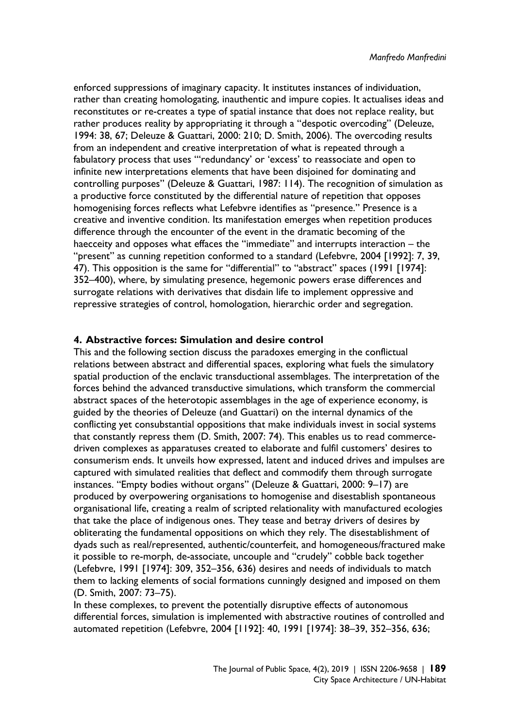enforced suppressions of imaginary capacity. It institutes instances of individuation, rather than creating homologating, inauthentic and impure copies. It actualises ideas and reconstitutes or re-creates a type of spatial instance that does not replace reality, but rather produces reality by appropriating it through a "despotic overcoding" (Deleuze, 1994: 38, 67; Deleuze & Guattari, 2000: 210; D. Smith, 2006). The overcoding results from an independent and creative interpretation of what is repeated through a fabulatory process that uses "'redundancy' or 'excess' to reassociate and open to infinite new interpretations elements that have been disjoined for dominating and controlling purposes" (Deleuze & Guattari, 1987: 114). The recognition of simulation as a productive force constituted by the differential nature of repetition that opposes homogenising forces reflects what Lefebvre identifies as "presence." Presence is a creative and inventive condition. Its manifestation emerges when repetition produces difference through the encounter of the event in the dramatic becoming of the haecceity and opposes what effaces the "immediate" and interrupts interaction – the "present" as cunning repetition conformed to a standard (Lefebvre, 2004 [1992]: 7, 39, 47). This opposition is the same for "differential" to "abstract" spaces (1991 [1974]: 352–400), where, by simulating presence, hegemonic powers erase differences and surrogate relations with derivatives that disdain life to implement oppressive and repressive strategies of control, homologation, hierarchic order and segregation.

## **4. Abstractive forces: Simulation and desire control**

This and the following section discuss the paradoxes emerging in the conflictual relations between abstract and differential spaces, exploring what fuels the simulatory spatial production of the enclavic transductional assemblages. The interpretation of the forces behind the advanced transductive simulations, which transform the commercial abstract spaces of the heterotopic assemblages in the age of experience economy, is guided by the theories of Deleuze (and Guattari) on the internal dynamics of the conflicting yet consubstantial oppositions that make individuals invest in social systems that constantly repress them (D. Smith, 2007: 74). This enables us to read commercedriven complexes as apparatuses created to elaborate and fulfil customers' desires to consumerism ends. It unveils how expressed, latent and induced drives and impulses are captured with simulated realities that deflect and commodify them through surrogate instances. "Empty bodies without organs" (Deleuze & Guattari, 2000: 9–17) are produced by overpowering organisations to homogenise and disestablish spontaneous organisational life, creating a realm of scripted relationality with manufactured ecologies that take the place of indigenous ones. They tease and betray drivers of desires by obliterating the fundamental oppositions on which they rely. The disestablishment of dyads such as real/represented, authentic/counterfeit, and homogeneous/fractured make it possible to re-morph, de-associate, uncouple and "crudely" cobble back together (Lefebvre, 1991 [1974]: 309, 352–356, 636) desires and needs of individuals to match them to lacking elements of social formations cunningly designed and imposed on them (D. Smith, 2007: 73–75).

In these complexes, to prevent the potentially disruptive effects of autonomous differential forces, simulation is implemented with abstractive routines of controlled and automated repetition (Lefebvre, 2004 [1192]: 40, 1991 [1974]: 38–39, 352–356, 636;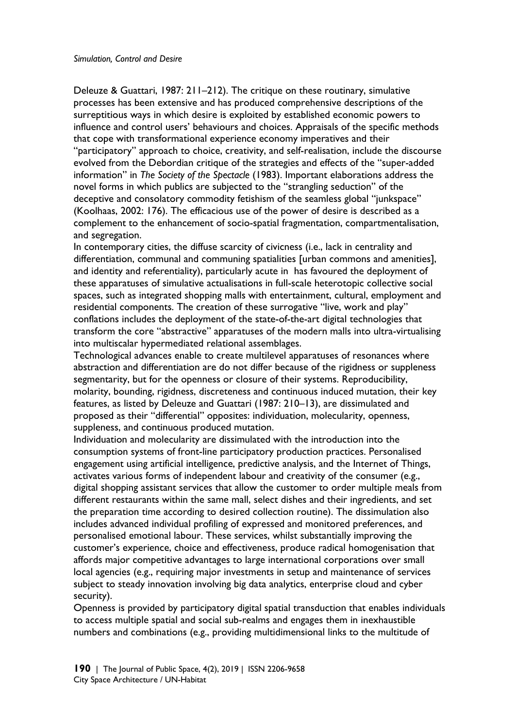Deleuze & Guattari, 1987: 211–212). The critique on these routinary, simulative processes has been extensive and has produced comprehensive descriptions of the surreptitious ways in which desire is exploited by established economic powers to influence and control users' behaviours and choices. Appraisals of the specific methods that cope with transformational experience economy imperatives and their "participatory" approach to choice, creativity, and self-realisation, include the discourse evolved from the Debordian critique of the strategies and effects of the "super-added information" in *The Society of the Spectacle* (1983). Important elaborations address the novel forms in which publics are subjected to the "strangling seduction" of the deceptive and consolatory commodity fetishism of the seamless global "junkspace" (Koolhaas, 2002: 176). The efficacious use of the power of desire is described as a complement to the enhancement of socio-spatial fragmentation, compartmentalisation, and segregation.

In contemporary cities, the diffuse scarcity of civicness (i.e., lack in centrality and differentiation, communal and communing spatialities [urban commons and amenities], and identity and referentiality), particularly acute in has favoured the deployment of these apparatuses of simulative actualisations in full-scale heterotopic collective social spaces, such as integrated shopping malls with entertainment, cultural, employment and residential components. The creation of these surrogative "live, work and play" conflations includes the deployment of the state-of-the-art digital technologies that transform the core "abstractive" apparatuses of the modern malls into ultra-virtualising into multiscalar hypermediated relational assemblages.

Technological advances enable to create multilevel apparatuses of resonances where abstraction and differentiation are do not differ because of the rigidness or suppleness segmentarity, but for the openness or closure of their systems. Reproducibility, molarity, bounding, rigidness, discreteness and continuous induced mutation, their key features, as listed by Deleuze and Guattari (1987: 210–13), are dissimulated and proposed as their "differential" opposites: individuation, molecularity, openness, suppleness, and continuous produced mutation.

Individuation and molecularity are dissimulated with the introduction into the consumption systems of front-line participatory production practices. Personalised engagement using artificial intelligence, predictive analysis, and the Internet of Things, activates various forms of independent labour and creativity of the consumer (e.g., digital shopping assistant services that allow the customer to order multiple meals from different restaurants within the same mall, select dishes and their ingredients, and set the preparation time according to desired collection routine). The dissimulation also includes advanced individual profiling of expressed and monitored preferences, and personalised emotional labour. These services, whilst substantially improving the customer's experience, choice and effectiveness, produce radical homogenisation that affords major competitive advantages to large international corporations over small local agencies (e.g., requiring major investments in setup and maintenance of services subject to steady innovation involving big data analytics, enterprise cloud and cyber security).

Openness is provided by participatory digital spatial transduction that enables individuals to access multiple spatial and social sub-realms and engages them in inexhaustible numbers and combinations (e.g., providing multidimensional links to the multitude of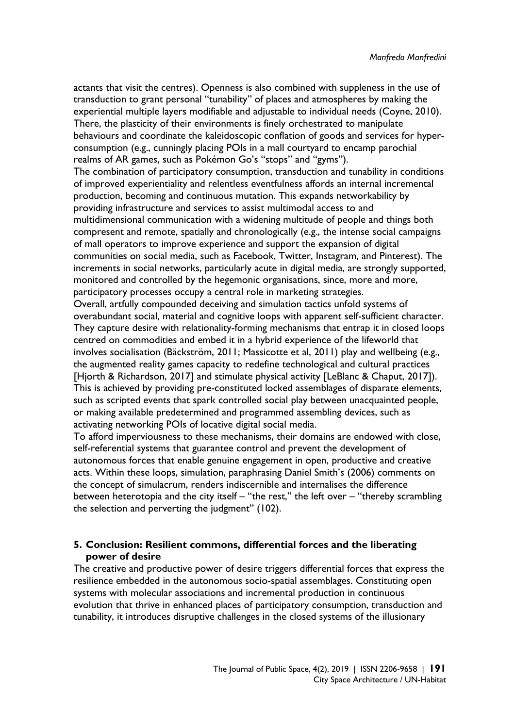actants that visit the centres). Openness is also combined with suppleness in the use of transduction to grant personal "tunability" of places and atmospheres by making the experiential multiple layers modifiable and adjustable to individual needs (Coyne, 2010). There, the plasticity of their environments is finely orchestrated to manipulate behaviours and coordinate the kaleidoscopic conflation of goods and services for hyperconsumption (e.g., cunningly placing POIs in a mall courtyard to encamp parochial realms of AR games, such as Pokémon Go's "stops" and "gyms").

The combination of participatory consumption, transduction and tunability in conditions of improved experientiality and relentless eventfulness affords an internal incremental production, becoming and continuous mutation. This expands networkability by providing infrastructure and services to assist multimodal access to and multidimensional communication with a widening multitude of people and things both compresent and remote, spatially and chronologically (e.g., the intense social campaigns of mall operators to improve experience and support the expansion of digital communities on social media, such as Facebook, Twitter, Instagram, and Pinterest). The increments in social networks, particularly acute in digital media, are strongly supported, monitored and controlled by the hegemonic organisations, since, more and more, participatory processes occupy a central role in marketing strategies. Overall, artfully compounded deceiving and simulation tactics unfold systems of overabundant social, material and cognitive loops with apparent self-sufficient character. They capture desire with relationality-forming mechanisms that entrap it in closed loops centred on commodities and embed it in a hybrid experience of the lifeworld that involves socialisation (Bäckström, 2011; Massicotte et al, 2011) play and wellbeing (e.g.,

the augmented reality games capacity to redefine technological and cultural practices [Hiorth & Richardson, 2017] and stimulate physical activity [LeBlanc & Chaput, 2017]). This is achieved by providing pre-constituted locked assemblages of disparate elements, such as scripted events that spark controlled social play between unacquainted people, or making available predetermined and programmed assembling devices, such as activating networking POIs of locative digital social media.

To afford imperviousness to these mechanisms, their domains are endowed with close, self-referential systems that guarantee control and prevent the development of autonomous forces that enable genuine engagement in open, productive and creative acts. Within these loops, simulation, paraphrasing Daniel Smith's (2006) comments on the concept of simulacrum, renders indiscernible and internalises the difference between heterotopia and the city itself – "the rest," the left over – "thereby scrambling the selection and perverting the judgment" (102).

# **5. Conclusion: Resilient commons, differential forces and the liberating power of desire**

The creative and productive power of desire triggers differential forces that express the resilience embedded in the autonomous socio-spatial assemblages. Constituting open systems with molecular associations and incremental production in continuous evolution that thrive in enhanced places of participatory consumption, transduction and tunability, it introduces disruptive challenges in the closed systems of the illusionary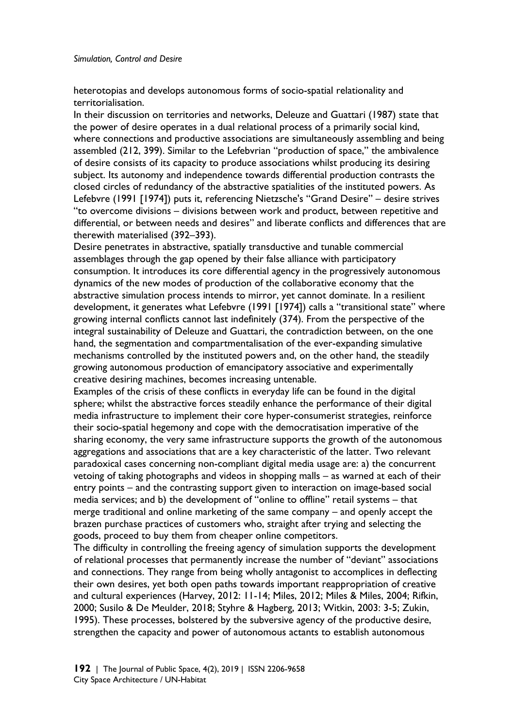heterotopias and develops autonomous forms of socio-spatial relationality and territorialisation.

In their discussion on territories and networks, Deleuze and Guattari (1987) state that the power of desire operates in a dual relational process of a primarily social kind, where connections and productive associations are simultaneously assembling and being assembled (212, 399). Similar to the Lefebvrian "production of space," the ambivalence of desire consists of its capacity to produce associations whilst producing its desiring subject. Its autonomy and independence towards differential production contrasts the closed circles of redundancy of the abstractive spatialities of the instituted powers. As Lefebvre (1991 [1974]) puts it, referencing Nietzsche's "Grand Desire" – desire strives "to overcome divisions – divisions between work and product, between repetitive and differential, or between needs and desires" and liberate conflicts and differences that are therewith materialised (392–393).

Desire penetrates in abstractive, spatially transductive and tunable commercial assemblages through the gap opened by their false alliance with participatory consumption. It introduces its core differential agency in the progressively autonomous dynamics of the new modes of production of the collaborative economy that the abstractive simulation process intends to mirror, yet cannot dominate. In a resilient development, it generates what Lefebvre (1991 [1974]) calls a "transitional state" where growing internal conflicts cannot last indefinitely (374). From the perspective of the integral sustainability of Deleuze and Guattari, the contradiction between, on the one hand, the segmentation and compartmentalisation of the ever-expanding simulative mechanisms controlled by the instituted powers and, on the other hand, the steadily growing autonomous production of emancipatory associative and experimentally creative desiring machines, becomes increasing untenable.

Examples of the crisis of these conflicts in everyday life can be found in the digital sphere; whilst the abstractive forces steadily enhance the performance of their digital media infrastructure to implement their core hyper-consumerist strategies, reinforce their socio-spatial hegemony and cope with the democratisation imperative of the sharing economy, the very same infrastructure supports the growth of the autonomous aggregations and associations that are a key characteristic of the latter. Two relevant paradoxical cases concerning non-compliant digital media usage are: a) the concurrent vetoing of taking photographs and videos in shopping malls – as warned at each of their entry points – and the contrasting support given to interaction on image-based social media services; and b) the development of "online to offline" retail systems – that merge traditional and online marketing of the same company – and openly accept the brazen purchase practices of customers who, straight after trying and selecting the goods, proceed to buy them from cheaper online competitors.

The difficulty in controlling the freeing agency of simulation supports the development of relational processes that permanently increase the number of "deviant" associations and connections. They range from being wholly antagonist to accomplices in deflecting their own desires, yet both open paths towards important reappropriation of creative and cultural experiences (Harvey, 2012: 11-14; Miles, 2012; Miles & Miles, 2004; Rifkin, 2000; Susilo & De Meulder, 2018; Styhre & Hagberg, 2013; Witkin, 2003: 3-5; Zukin, 1995). These processes, bolstered by the subversive agency of the productive desire, strengthen the capacity and power of autonomous actants to establish autonomous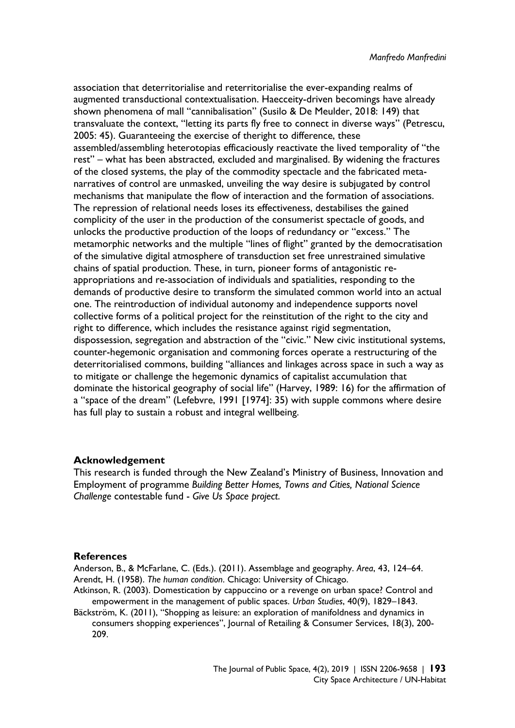association that deterritorialise and reterritorialise the ever-expanding realms of augmented transductional contextualisation. Haecceity-driven becomings have already shown phenomena of mall "cannibalisation" (Susilo & De Meulder, 2018: 149) that transvaluate the context, "letting its parts fly free to connect in diverse ways" (Petrescu, 2005: 45). Guaranteeing the exercise of theright to difference, these assembled/assembling heterotopias efficaciously reactivate the lived temporality of "the rest" – what has been abstracted, excluded and marginalised. By widening the fractures of the closed systems, the play of the commodity spectacle and the fabricated metanarratives of control are unmasked, unveiling the way desire is subjugated by control mechanisms that manipulate the flow of interaction and the formation of associations. The repression of relational needs loses its effectiveness, destabilises the gained complicity of the user in the production of the consumerist spectacle of goods, and unlocks the productive production of the loops of redundancy or "excess." The metamorphic networks and the multiple "lines of flight" granted by the democratisation of the simulative digital atmosphere of transduction set free unrestrained simulative chains of spatial production. These, in turn, pioneer forms of antagonistic reappropriations and re-association of individuals and spatialities, responding to the demands of productive desire to transform the simulated common world into an actual one. The reintroduction of individual autonomy and independence supports novel collective forms of a political project for the reinstitution of the right to the city and right to difference, which includes the resistance against rigid segmentation, dispossession, segregation and abstraction of the "civic." New civic institutional systems, counter-hegemonic organisation and commoning forces operate a restructuring of the deterritorialised commons, building "alliances and linkages across space in such a way as to mitigate or challenge the hegemonic dynamics of capitalist accumulation that dominate the historical geography of social life" (Harvey, 1989: 16) for the affirmation of a "space of the dream" (Lefebvre, 1991 [1974]: 35) with supple commons where desire has full play to sustain a robust and integral wellbeing.

#### **Acknowledgement**

This research is funded through the New Zealand's Ministry of Business, Innovation and Employment of programme *Building Better Homes, Towns and Cities, National Science Challenge* contestable fund - *Give Us Space project*.

#### **References**

Anderson, B., & McFarlane, C. (Eds.). (2011). Assemblage and geography. *Area*, 43, 124–64. Arendt, H. (1958). *The human condition*. Chicago: University of Chicago.

Atkinson, R. (2003). Domestication by cappuccino or a revenge on urban space? Control and empowerment in the management of public spaces. *Urban Studies*, 40(9), 1829–1843.

Bäckström, K. (2011), "Shopping as leisure: an exploration of manifoldness and dynamics in consumers shopping experiences", Journal of Retailing & Consumer Services, 18(3), 200- 209.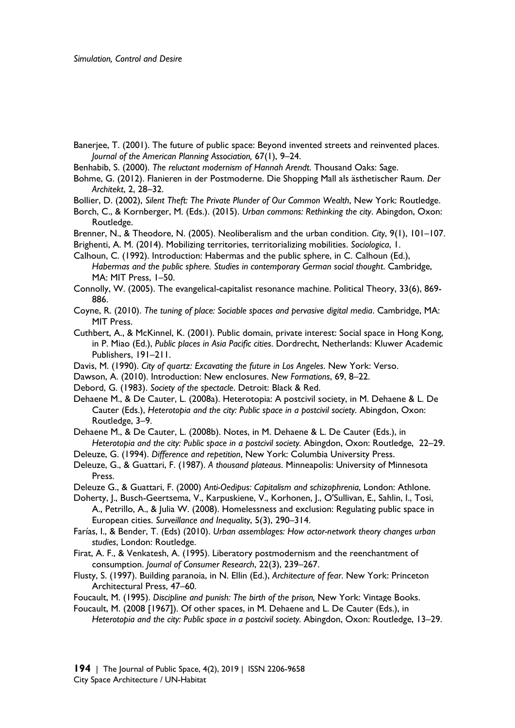- Banerjee, T. (2001). The future of public space: Beyond invented streets and reinvented places. *Journal of the American Planning Association,* 67(1), 9–24.
- Benhabib, S. (2000). *The reluctant modernism of Hannah Arendt*. Thousand Oaks: Sage.
- Bohme, G. (2012). Flanieren in der Postmoderne. Die Shopping Mall als ästhetischer Raum. *Der Architekt*, 2, 28–32.
- Bollier, D. (2002), *Silent Theft: The Private Plunder of Our Common Wealth*, New York: Routledge.
- Borch, C., & Kornberger, M. (Eds.). (2015). *Urban commons: Rethinking the city*. Abingdon, Oxon: Routledge.
- Brenner, N., & Theodore, N. (2005). Neoliberalism and the urban condition. *City*, 9(1), 101–107.
- Brighenti, A. M. (2014). Mobilizing territories, territorializing mobilities. *Sociologica*, 1.
- Calhoun, C. (1992). Introduction: Habermas and the public sphere, in C. Calhoun (Ed.), *Habermas and the public sphere. Studies in contemporary German social thought*. Cambridge, MA: MIT Press, 1–50.
- Connolly, W. (2005). The evangelical-capitalist resonance machine. Political Theory, 33(6), 869- 886.
- Coyne, R. (2010). *The tuning of place: Sociable spaces and pervasive digital media*. Cambridge, MA: MIT Press.
- Cuthbert, A., & McKinnel, K. (2001). Public domain, private interest: Social space in Hong Kong, in P. Miao (Ed.), *Public places in Asia Pacific cities*. Dordrecht, Netherlands: Kluwer Academic Publishers, 191–211.
- Davis, M. (1990). *City of quartz: Excavating the future in Los Angeles*. New York: Verso.
- Dawson, A. (2010). Introduction: New enclosures. *New Formations*, 69, 8–22.
- Debord, G. (1983). *Society of the spectacle*. Detroit: Black & Red.
- Dehaene M., & De Cauter, L. (2008a). Heterotopia: A postcivil society, in M. Dehaene & L. De Cauter (Eds.), *Heterotopia and the city: Public space in a postcivil society.* Abingdon, Oxon: Routledge, 3–9.
- Dehaene M., & De Cauter, L. (2008b). Notes, in M. Dehaene & L. De Cauter (Eds.), in *Heterotopia and the city: Public space in a postcivil society.* Abingdon, Oxon: Routledge, 22–29.
- Deleuze, G. (1994). *Difference and repetition*, New York: Columbia University Press.
- Deleuze, G., & Guattari, F. (1987). *A thousand plateaus*. Minneapolis: University of Minnesota Press.
- Deleuze G., & Guattari, F. (2000) *Anti-Oedipus: Capitalism and schizophrenia*, London: Athlone.
- Doherty, J., Busch-Geertsema, V., Karpuskiene, V., Korhonen, J., O'Sullivan, E., Sahlin, I., Tosi, A., Petrillo, A., & Julia W. (2008). Homelessness and exclusion: Regulating public space in European cities. *Surveillance and Inequality*, 5(3), 290–314.
- Farías, I., & Bender, T. (Eds) (2010). *Urban assemblages: How actor-network theory changes urban studies*, London: Routledge.
- Firat, A. F., & Venkatesh, A. (1995). Liberatory postmodernism and the reenchantment of consumption. *Journal of Consumer Research*, 22(3), 239–267.
- Flusty, S. (1997). Building paranoia, in N. Ellin (Ed.), *Architecture of fear*. New York: Princeton Architectural Press, 47–60.
- Foucault, M. (1995). *Discipline and punish: The birth of the prison,* New York: Vintage Books.
- Foucault, M. (2008 [1967]). Of other spaces, in M. Dehaene and L. De Cauter (Eds.), in *Heterotopia and the city: Public space in a postcivil society.* Abingdon, Oxon: Routledge, 13–29.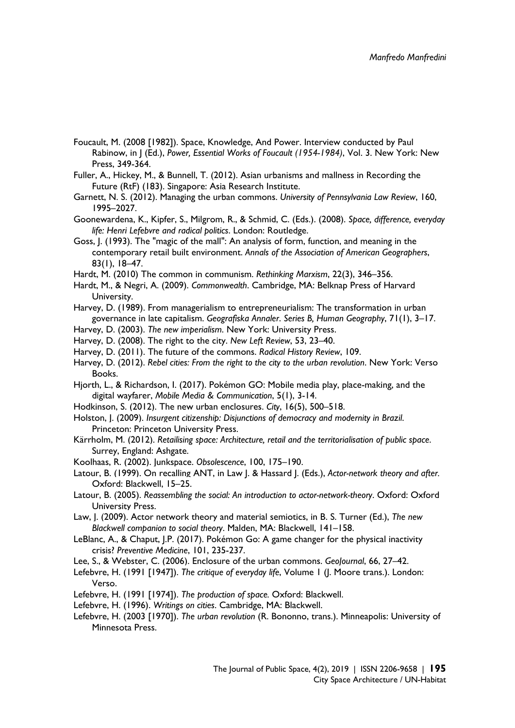- Foucault, M. (2008 [1982]). Space, Knowledge, And Power. Interview conducted by Paul Rabinow, in J (Ed.), *Power, Essential Works of Foucault (1954-1984)*, Vol. 3. New York: New Press, 349-364.
- Fuller, A., Hickey, M., & Bunnell, T. (2012). Asian urbanisms and mallness in Recording the Future (RtF) (183). Singapore: Asia Research Institute.
- Garnett, N. S. (2012). Managing the urban commons. *University of Pennsylvania Law Review*, 160, 1995–2027.
- Goonewardena, K., Kipfer, S., Milgrom, R., & Schmid, C. (Eds.). (2008). *Space, difference, everyday life: Henri Lefebvre and radical politics*. London: Routledge.
- Goss, J. (1993). The "magic of the mall": An analysis of form, function, and meaning in the contemporary retail built environment. *Annals of the Association of American Geographers*, 83(1), 18–47.
- Hardt, M. (2010) The common in communism. *Rethinking Marxism*, 22(3), 346–356.
- Hardt, M., & Negri, A. (2009). *Commonwealth*. Cambridge, MA: Belknap Press of Harvard University.
- Harvey, D. (1989). From managerialism to entrepreneurialism: The transformation in urban governance in late capitalism. *Geografiska Annaler*. *Series B, Human Geography*, 71(1), 3–17.
- Harvey, D. (2003). *The new imperialism*. New York: University Press.
- Harvey, D. (2008). The right to the city. *New Left Review*, 53, 23–40.
- Harvey, D. (2011). The future of the commons. *Radical History Review*, 109.
- Harvey, D. (2012). *Rebel cities: From the right to the city to the urban revolution*. New York: Verso Books.
- Hjorth, L., & Richardson, I. (2017). Pokémon GO: Mobile media play, place-making, and the digital wayfarer, *Mobile Media & Communication*, 5(1), 3-14.
- Hodkinson, S. (2012). The new urban enclosures. *City*, 16(5), 500–518.
- Holston, J. (2009). *Insurgent citizenship: Disjunctions of democracy and modernity in Brazil*. Princeton: Princeton University Press.
- Kärrholm, M. (2012). *Retailising space: Architecture, retail and the territorialisation of public space*. Surrey, England: Ashgate.
- Koolhaas, R. (2002). Junkspace. *Obsolescence*, 100, 175–190.
- Latour, B. (1999). On recalling ANT, in Law J. & Hassard J. (Eds.), *Actor-network theory and after.*  Oxford: Blackwell, 15–25.
- Latour, B. (2005). *Reassembling the social: An introduction to actor-network-theory*. Oxford: Oxford University Press.
- Law, J. (2009). Actor network theory and material semiotics, in B. S. Turner (Ed.), *The new Blackwell companion to social theory*. Malden, MA: Blackwell, 141–158.
- LeBlanc, A., & Chaput, J.P. (2017). Pokémon Go: A game changer for the physical inactivity crisis? *Preventive Medicine*, 101, 235-237.
- Lee, S., & Webster, C. (2006). Enclosure of the urban commons. *GeoJournal*, 66, 27–42.
- Lefebvre, H. (1991 [1947]). *The critique of everyday life*, Volume 1 (J. Moore trans.). London: Verso.
- Lefebvre, H. (1991 [1974]). *The production of space.* Oxford: Blackwell.
- Lefebvre, H. (1996). *Writings on cities*. Cambridge, MA: Blackwell.
- Lefebvre, H. (2003 [1970]). *The urban revolution* (R. Bononno, trans.). Minneapolis: University of Minnesota Press.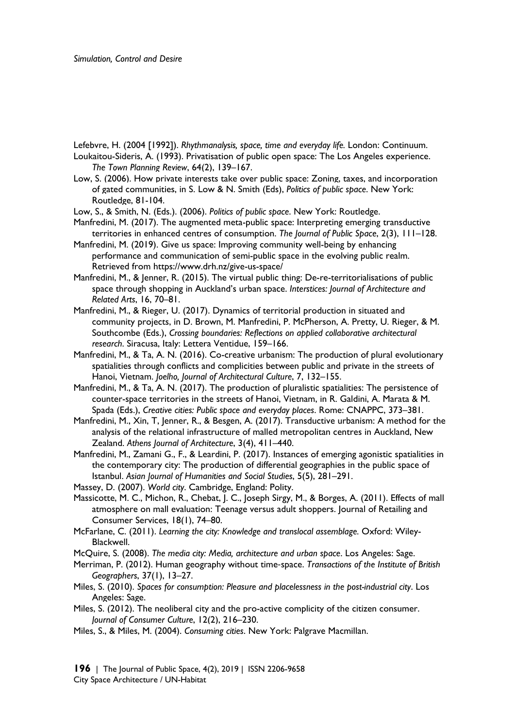Lefebvre, H. (2004 [1992]). *Rhythmanalysis, space, time and everyday life.* London: Continuum.

Loukaitou-Sideris, A. (1993). Privatisation of public open space: The Los Angeles experience. *The Town Planning Review*, 64(2), 139–167.

Low, S. (2006). How private interests take over public space: Zoning, taxes, and incorporation of gated communities, in S. Low & N. Smith (Eds), *Politics of public space*. New York: Routledge, 81-104.

Low, S., & Smith, N. (Eds.). (2006). *Politics of public space*. New York: Routledge.

- Manfredini, M. (2017). The augmented meta-public space: Interpreting emerging transductive territories in enhanced centres of consumption. *The Journal of Public Space*, 2(3), 111–128.
- Manfredini, M. (2019). Give us space: Improving community well-being by enhancing performance and communication of semi-public space in the evolving public realm. Retrieved from https://www.drh.nz/give-us-space/
- Manfredini, M., & Jenner, R. (2015). The virtual public thing: De-re-territorialisations of public space through shopping in Auckland's urban space. *Interstices: Journal of Architecture and Related Arts*, 16, 70–81.
- Manfredini, M., & Rieger, U. (2017). Dynamics of territorial production in situated and community projects, in D. Brown, M. Manfredini, P. McPherson, A. Pretty, U. Rieger, & M. Southcombe (Eds.), *Crossing boundaries: Reflections on applied collaborative architectural research*. Siracusa, Italy: Lettera Ventidue, 159–166.
- Manfredini, M., & Ta, A. N. (2016). Co-creative urbanism: The production of plural evolutionary spatialities through conflicts and complicities between public and private in the streets of Hanoi, Vietnam. *Joelho, Journal of Architectural Culture*, 7, 132–155.
- Manfredini, M., & Ta, A. N. (2017). The production of pluralistic spatialities: The persistence of counter-space territories in the streets of Hanoi, Vietnam, in R. Galdini, A. Marata & M. Spada (Eds.), *Creative cities: Public space and everyday places*. Rome: CNAPPC, 373–381.
- Manfredini, M., Xin, T, Jenner, R., & Besgen, A. (2017). Transductive urbanism: A method for the analysis of the relational infrastructure of malled metropolitan centres in Auckland, New Zealand. *Athens Journal of Architecture*, 3(4), 411–440.
- Manfredini, M., Zamani G., F., & Leardini, P. (2017). Instances of emerging agonistic spatialities in the contemporary city: The production of differential geographies in the public space of Istanbul. *Asian Journal of Humanities and Social Studies*, 5(5), 281–291.

Massey, D. (2007). *World city*. Cambridge, England: Polity.

- Massicotte, M. C., Michon, R., Chebat, J. C., Joseph Sirgy, M., & Borges, A. (2011). Effects of mall atmosphere on mall evaluation: Teenage versus adult shoppers. Journal of Retailing and Consumer Services, 18(1), 74–80.
- McFarlane, C. (2011). *Learning the city: Knowledge and translocal assemblage.* Oxford: Wiley-Blackwell.
- McQuire, S. (2008). *The media city: Media, architecture and urban space*. Los Angeles: Sage.
- Merriman, P. (2012). Human geography without time-space. *Transactions of the Institute of British Geographers*, 37(1), 13–27.
- Miles, S. (2010). *Spaces for consumption: Pleasure and placelessness in the post-industrial city*. Los Angeles: Sage.
- Miles, S. (2012). The neoliberal city and the pro-active complicity of the citizen consumer. *Journal of Consumer Culture*, 12(2), 216–230.
- Miles, S., & Miles, M. (2004). *Consuming cities*. New York: Palgrave Macmillan.

**196** | The Journal of Public Space, 4(2), 2019 | ISSN 2206-9658 City Space Architecture / UN-Habitat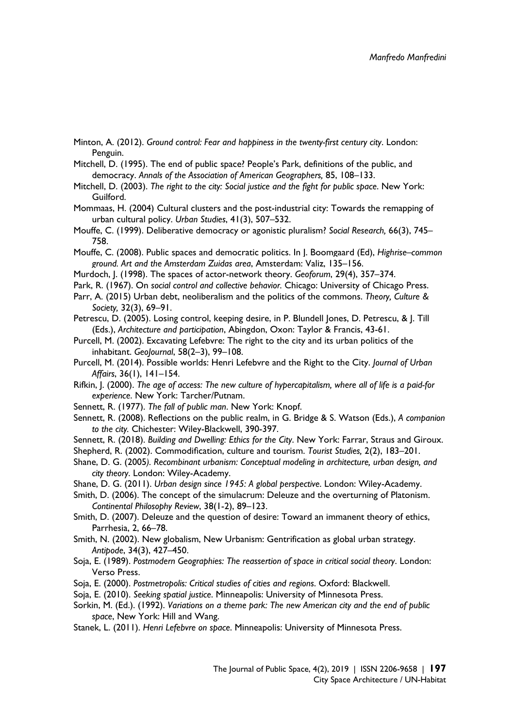- Minton, A. (2012). *Ground control: Fear and happiness in the twenty-first century city*. London: Penguin.
- Mitchell, D. (1995). The end of public space? People's Park, definitions of the public, and democracy. *Annals of the Association of American Geographers,* 85, 108–133.
- Mitchell, D. (2003). *The right to the city: Social justice and the fight for public space*. New York: Guilford.
- Mommaas, H. (2004) Cultural clusters and the post-industrial city: Towards the remapping of urban cultural policy. *Urban Studies*, 41(3), 507–532.
- Mouffe, C. (1999). Deliberative democracy or agonistic pluralism? *Social Research,* 66(3), 745– 758.
- Mouffe, C. (2008). Public spaces and democratic politics. In J. Boomgaard (Ed), *Highrise–common ground. Art and the Amsterdam Zuidas area*, Amsterdam: Valiz, 135–156.
- Murdoch, J. (1998). The spaces of actor-network theory. *Geoforum*, 29(4), 357–374.
- Park, R. (1967). On *social control and collective behavior.* Chicago: University of Chicago Press.
- Parr, A. (2015) Urban debt, neoliberalism and the politics of the commons. *Theory, Culture & Society,* 32(3), 69–91.
- Petrescu, D. (2005). Losing control, keeping desire, in P. Blundell Jones, D. Petrescu, & J. Till (Eds.), *Architecture and participation*, Abingdon, Oxon: Taylor & Francis, 43-61.
- Purcell, M. (2002). Excavating Lefebvre: The right to the city and its urban politics of the inhabitant. *GeoJournal*, 58(2–3), 99–108.
- Purcell, M. (2014). Possible worlds: Henri Lefebvre and the Right to the City. *Journal of Urban Affairs*, 36(1), 141–154.
- Rifkin, J. (2000). *The age of access: The new culture of hypercapitalism, where all of life is a paid-for experience*. New York: Tarcher/Putnam.
- Sennett, R. (1977). *The fall of public man*. New York: Knopf.
- Sennett, R. (2008). Reflections on the public realm, in G. Bridge & S. Watson (Eds.), *A companion to the city.* Chichester: Wiley-Blackwell, 390-397.
- Sennett, R. (2018). *Building and Dwelling: Ethics for the City*. New York: Farrar, Straus and Giroux.
- Shepherd, R. (2002). Commodification, culture and tourism. *Tourist Studies,* 2(2), 183–201.
- Shane, D. G. (2005*). Recombinant urbanism: Conceptual modeling in architecture, urban design, and city theory*. London: Wiley-Academy.
- Shane, D. G. (2011). *Urban design since 1945: A global perspective*. London: Wiley-Academy.
- Smith, D. (2006). The concept of the simulacrum: Deleuze and the overturning of Platonism. *Continental Philosophy Review*, 38(1-2), 89–123.
- Smith, D. (2007). Deleuze and the question of desire: Toward an immanent theory of ethics, Parrhesia, 2, 66–78.
- Smith, N. (2002). New globalism, New Urbanism: Gentrification as global urban strategy. *Antipode*, 34(3), 427–450.
- Soja, E. (1989). *Postmodern Geographies: The reassertion of space in critical social theory*. London: Verso Press.
- Soja, E. (2000). *Postmetropolis: Critical studies of cities and regions*. Oxford: Blackwell.
- Soja, E. (2010). *Seeking spatial justice*. Minneapolis: University of Minnesota Press.
- Sorkin, M. (Ed.). (1992). *Variations on a theme park: The new American city and the end of public space*, New York: Hill and Wang.
- Stanek, L. (2011). *Henri Lefebvre on space*. Minneapolis: University of Minnesota Press.